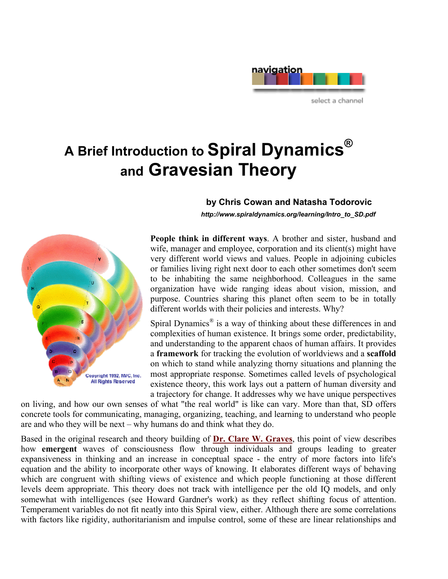# navigation select a channel

# **A Brief Introduction to Spiral Dynamics® and Gravesian Theory**



## **by Chris Cowan and Natasha Todorovic**

 *http://www.spiraldynamics.org/learning/Intro\_to\_SD.pdf* 

**People think in different ways**. A brother and sister, husband and wife, manager and employee, corporation and its client(s) might have very different world views and values. People in adjoining cubicles or families living right next door to each other sometimes don't seem to be inhabiting the same neighborhood. Colleagues in the same organization have wide ranging ideas about vision, mission, and purpose. Countries sharing this planet often seem to be in totally different worlds with their policies and interests. Why?

Spiral Dynamics<sup>®</sup> is a way of thinking about these differences in and complexities of human existence. It brings some order, predictability, and understanding to the apparent chaos of human affairs. It provides a **framework** for tracking the evolution of worldviews and a **scaffold** on which to stand while analyzing thorny situations and planning the most appropriate response. Sometimes called levels of psychological existence theory, this work lays out a pattern of human diversity and a trajectory for change. It addresses why we have unique perspectives

on living, and how our own senses of what "the real world" is like can vary. More than that, SD offers concrete tools for communicating, managing, organizing, teaching, and learning to understand who people are and who they will be next – why humans do and think what they do.

Based in the original research and theory building of **[Dr. Clare W. Graves](http://www.clarewgraves.com)**, this point of view describes how **emergent** waves of consciousness flow through individuals and groups leading to greater expansiveness in thinking and an increase in conceptual space - the entry of more factors into life's equation and the ability to incorporate other ways of knowing. It elaborates different ways of behaving which are congruent with shifting views of existence and which people functioning at those different levels deem appropriate. This theory does not track with intelligence per the old IQ models, and only somewhat with intelligences (see Howard Gardner's work) as they reflect shifting focus of attention. Temperament variables do not fit neatly into this Spiral view, either. Although there are some correlations with factors like rigidity, authoritarianism and impulse control, some of these are linear relationships and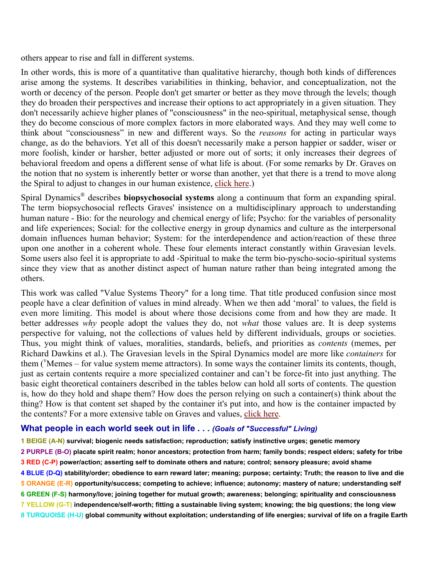others appear to rise and fall in different systems.

In other words, this is more of a quantitative than qualitative hierarchy, though both kinds of differences arise among the systems. It describes variabilities in thinking, behavior, and conceptualization, not the worth or decency of the person. People don't get smarter or better as they move through the levels; though they do broaden their perspectives and increase their options to act appropriately in a given situation. They don't necessarily achieve higher planes of "consciousness" in the neo-spiritual, metaphysical sense, though they do become conscious of more complex factors in more elaborated ways. And they may well come to think about "consciousness" in new and different ways. So the *reasons* for acting in particular ways change, as do the behaviors. Yet all of this doesn't necessarily make a person happier or sadder, wiser or more foolish, kinder or harsher, better adjusted or more out of sorts; it only increases their degrees of behavioral freedom and opens a different sense of what life is about. (For some remarks by Dr. Graves on the notion that no system is inherently better or worse than another, yet that there is a trend to move along the Spiral to adjust to changes in our human existence, [click here.](http://www.spiraldynamics.org/Graves/CG_quotes.pdf))

Spiral Dynamics® describes **biopsychosocial systems** along a continuum that form an expanding spiral. The term biopsychosocial reflects Graves' insistence on a multidisciplinary approach to understanding human nature - Bio: for the neurology and chemical energy of life; Psycho: for the variables of personality and life experiences; Social: for the collective energy in group dynamics and culture as the interpersonal domain influences human behavior; System: for the interdependence and action/reaction of these three upon one another in a coherent whole. These four elements interact constantly within Gravesian levels. Some users also feel it is appropriate to add -Spiritual to make the term bio-pyscho-socio-spiritual systems since they view that as another distinct aspect of human nature rather than being integrated among the others.

This work was called "Value Systems Theory" for a long time. That title produced confusion since most people have a clear definition of values in mind already. When we then add 'moral' to values, the field is even more limiting. This model is about where those decisions come from and how they are made. It better addresses *why* people adopt the values they do, not *what* those values are. It is deep systems perspective for valuing, not the collections of values held by different individuals, groups or societies. Thus, you might think of values, moralities, standards, beliefs, and priorities as *contents* (memes, per Richard Dawkins et al.). The Gravesian levels in the Spiral Dynamics model are more like *containers* for them ('Memes – for value system meme attractors). In some ways the container limits its contents, though, just as certain contents require a more specialized container and can't be force-fit into just anything. The basic eight theoretical containers described in the tables below can hold all sorts of contents. The question is, how do they hold and shape them? How does the person relying on such a container(s) think about the thing? How is that content set shaped by the container it's put into, and how is the container impacted by the contents? For a more extensive table on Graves and values, [click here.](http://www.spiraldynamics.org/Graves/futrtabl.pdf)

#### **What people in each world seek out in life . . .** *(Goals of "Successful" Living)*

**1 BEIGE (A-N) survival; biogenic needs satisfaction; reproduction; satisfy instinctive urges; genetic memory 2 PURPLE (B-O) placate spirit realm; honor ancestors; protection from harm; family bonds; respect elders; safety for tribe 3 RED (C-P) power/action; asserting self to dominate others and nature; control; sensory pleasure; avoid shame 4 BLUE (D-Q) stability/order; obedience to earn reward later; meaning; purpose; certainty; Truth; the reason to live and die 5 ORANGE (E-R) opportunity/success; competing to achieve; influence; autonomy; mastery of nature; understanding self 6 GREEN (F-S) harmony/love; joining together for mutual growth; awareness; belonging; spirituality and consciousness 7 YELLOW (G-T) independence/self-worth; fitting a sustainable living system; knowing; the big questions; the long view 8 TURQUOISE (H-U) global community without exploitation; understanding of life energies; survival of life on a fragile Earth**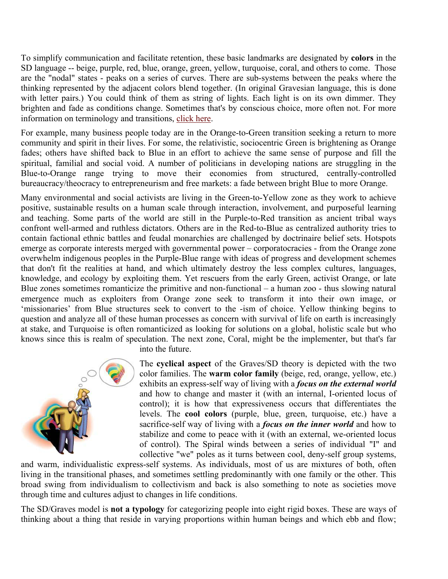To simplify communication and facilitate retention, these basic landmarks are designated by **colors** in the SD language -- beige, purple, red, blue, orange, green, yellow, turquoise, coral, and others to come. Those are the "nodal" states - peaks on a series of curves. There are sub-systems between the peaks where the thinking represented by the adjacent colors blend together. (In original Gravesian language, this is done with letter pairs.) You could think of them as string of lights. Each light is on its own dimmer. They brighten and fade as conditions change. Sometimes that's by conscious choice, more often not. For more information on terminology and transitions, [click here.](http://www.spiraldynamics.org/Graves/colors.htm)

For example, many business people today are in the Orange-to-Green transition seeking a return to more community and spirit in their lives. For some, the relativistic, sociocentric Green is brightening as Orange fades; others have shifted back to Blue in an effort to achieve the same sense of purpose and fill the spiritual, familial and social void. A number of politicians in developing nations are struggling in the Blue-to-Orange range trying to move their economies from structured, centrally-controlled bureaucracy/theocracy to entrepreneurism and free markets: a fade between bright Blue to more Orange.

Many environmental and social activists are living in the Green-to-Yellow zone as they work to achieve positive, sustainable results on a human scale through interaction, involvement, and purposeful learning and teaching. Some parts of the world are still in the Purple-to-Red transition as ancient tribal ways confront well-armed and ruthless dictators. Others are in the Red-to-Blue as centralized authority tries to contain factional ethnic battles and feudal monarchies are challenged by doctrinaire belief sets. Hotspots emerge as corporate interests merged with governmental power – corporatocracies - from the Orange zone overwhelm indigenous peoples in the Purple-Blue range with ideas of progress and development schemes that don't fit the realities at hand, and which ultimately destroy the less complex cultures, languages, knowledge, and ecology by exploiting them. Yet rescuers from the early Green, activist Orange, or late Blue zones sometimes romanticize the primitive and non-functional – a human zoo - thus slowing natural emergence much as exploiters from Orange zone seek to transform it into their own image, or 'missionaries' from Blue structures seek to convert to the -ism of choice. Yellow thinking begins to question and analyze all of these human processes as concern with survival of life on earth is increasingly at stake, and Turquoise is often romanticized as looking for solutions on a global, holistic scale but who knows since this is realm of speculation. The next zone, Coral, might be the implementer, but that's far



into the future.

The **cyclical aspect** of the Graves/SD theory is depicted with the two color families. The **warm color family** (beige, red, orange, yellow, etc.) exhibits an express-self way of living with a *focus on the external world* and how to change and master it (with an internal, I-oriented locus of control); it is how that expressiveness occurs that differentiates the levels. The **cool colors** (purple, blue, green, turquoise, etc.) have a sacrifice-self way of living with a *focus on the inner world* and how to stabilize and come to peace with it (with an external, we-oriented locus of control). The Spiral winds between a series of individual "I" and collective "we" poles as it turns between cool, deny-self group systems,

and warm, individualistic express-self systems. As individuals, most of us are mixtures of both, often living in the transitional phases, and sometimes settling predominantly with one family or the other. This broad swing from individualism to collectivism and back is also something to note as societies move through time and cultures adjust to changes in life conditions.

The SD/Graves model is **not a typology** for categorizing people into eight rigid boxes. These are ways of thinking about a thing that reside in varying proportions within human beings and which ebb and flow;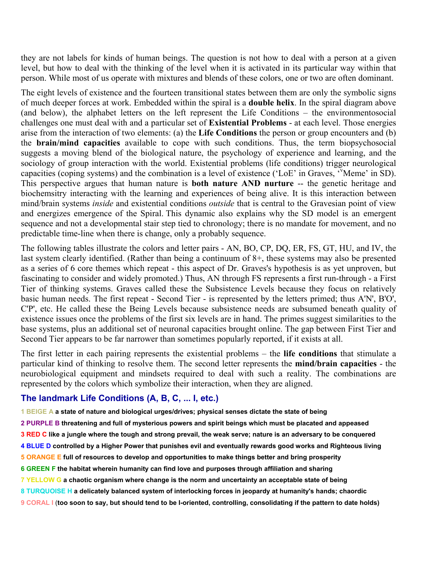they are not labels for kinds of human beings. The question is not how to deal with a person at a given level, but how to deal with the thinking of the level when it is activated in its particular way within that person. While most of us operate with mixtures and blends of these colors, one or two are often dominant.

The eight levels of existence and the fourteen transitional states between them are only the symbolic signs of much deeper forces at work. Embedded within the spiral is a **double helix**. In the spiral diagram above (and below), the alphabet letters on the left represent the Life Conditions – the environmentosocial challenges one must deal with and a particular set of **Existential Problems** - at each level. Those energies arise from the interaction of two elements: (a) the **Life Conditions** the person or group encounters and (b) the **brain/mind capacities** available to cope with such conditions. Thus, the term biopsychosocial suggests a moving blend of the biological nature, the psychology of experience and learning, and the sociology of group interaction with the world. Existential problems (life conditions) trigger neurological capacities (coping systems) and the combination is a level of existence ('LoE' in Graves, 'v Meme' in SD). This perspective argues that human nature is **both nature AND nurture** -- the genetic heritage and biochemsitry interacting with the learning and experiences of being alive. It is this interaction between mind/brain systems *inside* and existential conditions *outside* that is central to the Gravesian point of view and energizes emergence of the Spiral. This dynamic also explains why the SD model is an emergent sequence and not a developmental stair step tied to chronology; there is no mandate for movement, and no predictable time-line when there is change, only a probably sequence.

The following tables illustrate the colors and letter pairs - AN, BO, CP, DQ, ER, FS, GT, HU, and IV, the last system clearly identified. (Rather than being a continuum of 8+, these systems may also be presented as a series of 6 core themes which repeat - this aspect of Dr. Graves's hypothesis is as yet unproven, but fascinating to consider and widely promoted.) Thus, AN through FS represents a first run-through - a First Tier of thinking systems. Graves called these the Subsistence Levels because they focus on relatively basic human needs. The first repeat - Second Tier - is represented by the letters primed; thus A'N', B'O', C'P', etc. He called these the Being Levels because subsistence needs are subsumed beneath quality of existence issues once the problems of the first six levels are in hand. The primes suggest similarities to the base systems, plus an additional set of neuronal capacities brought online. The gap between First Tier and Second Tier appears to be far narrower than sometimes popularly reported, if it exists at all.

The first letter in each pairing represents the existential problems – the **life conditions** that stimulate a particular kind of thinking to resolve them. The second letter represents the **mind/brain capacities** - the neurobiological equipment and mindsets required to deal with such a reality. The combinations are represented by the colors which symbolize their interaction, when they are aligned.

## **The landmark Life Conditions (A, B, C, ... I, etc.)**

**1 BEIGE A a state of nature and biological urges/drives; physical senses dictate the state of being** 

- **2 PURPLE B threatening and full of mysterious powers and spirit beings which must be placated and appeased**
- **3 RED C like a jungle where the tough and strong prevail, the weak serve; nature is an adversary to be conquered**
- **4 BLUE D controlled by a Higher Power that punishes evil and eventually rewards good works and Righteous living**
- **5 ORANGE E full of resources to develop and opportunities to make things better and bring prosperity**
- **6 GREEN F the habitat wherein humanity can find love and purposes through affiliation and sharing**
- **7 YELLOW G a chaotic organism where change is the norm and uncertainty an acceptable state of being**
- **8 TURQUOISE H a delicately balanced system of interlocking forces in jeopardy at humanity's hands; chaordic**
- **9 CORAL I** (**too soon to say, but should tend to be I-oriented, controlling, consolidating if the pattern to date holds)**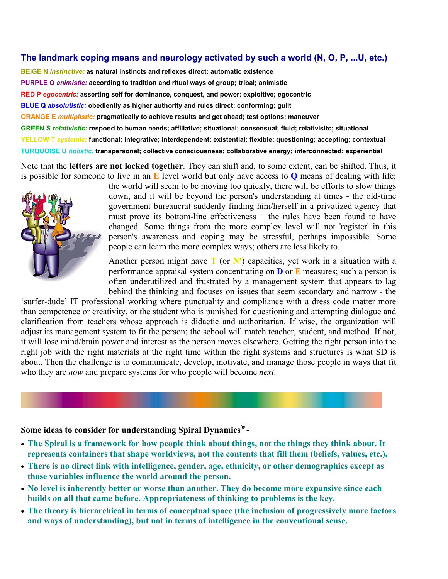#### **The landmark coping means and neurology activated by such a world (N, O, P, ...U, etc.)**

**BEIGE N** *instinctive:* **as natural instincts and reflexes direct; automatic existence PURPLE O** *animistic:* **according to tradition and ritual ways of group; tribal; animistic RED P** *egocentric:* **asserting self for dominance, conquest, and power; exploitive; egocentric BLUE Q** *absolutistic:* **obediently as higher authority and rules direct; conforming; guilt ORANGE E** *multiplistic:* **pragmatically to achieve results and get ahead; test options; maneuver GREEN S** *relativistic:* **respond to human needs; affiliative; situational; consensual; fluid; relativisitc; situational YELLOW T** *systemic:* **functional; integrative; interdependent; existential; flexible; questioning; accepting; contextual TURQUOISE U** *holistic:* **transpersonal; collective consciousness; collaborative energy; interconnected; experiential**

Note that the **letters are not locked together**. They can shift and, to some extent, can be shifted. Thus, it is possible for someone to live in an **E** level world but only have access to **Q** means of dealing with life;



the world will seem to be moving too quickly, there will be efforts to slow things down, and it will be beyond the person's understanding at times - the old-time government bureaucrat suddenly finding him/herself in a privatized agency that must prove its bottom-line effectiveness – the rules have been found to have changed. Some things from the more complex level will not 'register' in this person's awareness and coping may be stressful, perhaps impossible. Some people can learn the more complex ways; others are less likely to.

Another person might have  $T$  (or  $N'$ ) capacities, yet work in a situation with a performance appraisal system concentrating on **D** or **E** measures; such a person is often underutilized and frustrated by a management system that appears to lag behind the thinking and focuses on issues that seem secondary and narrow - the

'surfer-dude' IT professional working where punctuality and compliance with a dress code matter more than competence or creativity, or the student who is punished for questioning and attempting dialogue and clarification from teachers whose approach is didactic and authoritarian. If wise, the organization will adjust its management system to fit the person; the school will match teacher, student, and method. If not, it will lose mind/brain power and interest as the person moves elsewhere. Getting the right person into the right job with the right materials at the right time within the right systems and structures is what SD is about. Then the challenge is to communicate, develop, motivate, and manage those people in ways that fit who they are *now* and prepare systems for who people will become *next*.

# **Some ideas to consider for understanding Spiral Dynamics® -**

- **The Spiral is a framework for how people think about things, not the things they think about. It represents containers that shape worldviews, not the contents that fill them (beliefs, values, etc.).**
- **There is no direct link with intelligence, gender, age, ethnicity, or other demographics except as those variables influence the world around the person.**
- **No level is inherently better or worse than another. They do become more expansive since each builds on all that came before. Appropriateness of thinking to problems is the key.**
- **The theory is hierarchical in terms of conceptual space (the inclusion of progressively more factors and ways of understanding), but not in terms of intelligence in the conventional sense.**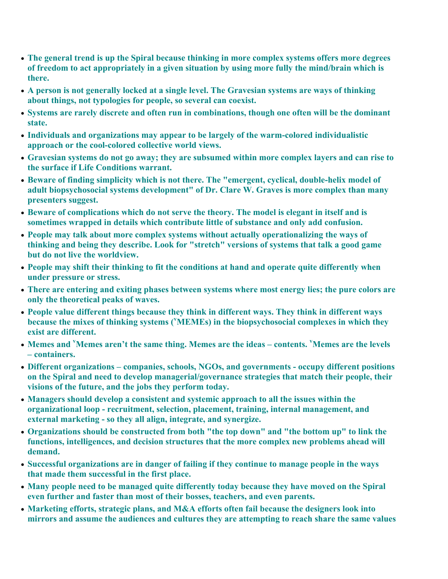- **The general trend is up the Spiral because thinking in more complex systems offers more degrees of freedom to act appropriately in a given situation by using more fully the mind/brain which is there.**
- **A person is not generally locked at a single level. The Gravesian systems are ways of thinking about things, not typologies for people, so several can coexist.**
- **Systems are rarely discrete and often run in combinations, though one often will be the dominant state.**
- **Individuals and organizations may appear to be largely of the warm-colored individualistic approach or the cool-colored collective world views.**
- **Gravesian systems do not go away; they are subsumed within more complex layers and can rise to the surface if Life Conditions warrant.**
- **Beware of finding simplicity which is not there. The "emergent, cyclical, double-helix model of adult biopsychosocial systems development" of Dr. Clare W. Graves is more complex than many presenters suggest.**
- **Beware of complications which do not serve the theory. The model is elegant in itself and is sometimes wrapped in details which contribute little of substance and only add confusion.**
- **People may talk about more complex systems without actually operationalizing the ways of thinking and being they describe. Look for "stretch" versions of systems that talk a good game but do not live the worldview.**
- **People may shift their thinking to fit the conditions at hand and operate quite differently when under pressure or stress.**
- **There are entering and exiting phases between systems where most energy lies; the pure colors are only the theoretical peaks of waves.**
- **People value different things because they think in different ways. They think in different ways because the mixes of thinking systems (<sup>v</sup> MEMEs) in the biopsychosocial complexes in which they exist are different.**
- **Memes and <sup>v</sup> Memes aren't the same thing. Memes are the ideas contents. <sup>v</sup> Memes are the levels – containers.**
- **Different organizations companies, schools, NGOs, and governments occupy different positions on the Spiral and need to develop managerial/governance strategies that match their people, their visions of the future, and the jobs they perform today.**
- **Managers should develop a consistent and systemic approach to all the issues within the organizational loop - recruitment, selection, placement, training, internal management, and external marketing - so they all align, integrate, and synergize.**
- **Organizations should be constructed from both "the top down" and "the bottom up" to link the functions, intelligences, and decision structures that the more complex new problems ahead will demand.**
- **Successful organizations are in danger of failing if they continue to manage people in the ways that made them successful in the first place.**
- **Many people need to be managed quite differently today because they have moved on the Spiral even further and faster than most of their bosses, teachers, and even parents.**
- **Marketing efforts, strategic plans, and M&A efforts often fail because the designers look into mirrors and assume the audiences and cultures they are attempting to reach share the same values**